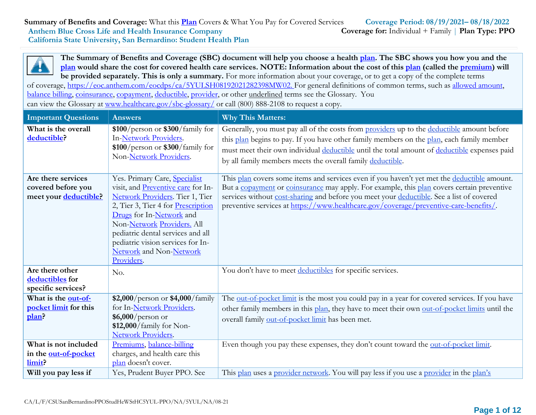

**The Summary of Benefits and Coverage (SBC) document will help you choose a health [plan.](https://www.healthcare.gov/sbc-glossary/) The SBC shows you how you and the** [plan](https://www.healthcare.gov/sbc-glossary/) would share the cost for covered health care services. NOTE: Information about the cost of this plan (called the [premium\)](https://www.healthcare.gov/sbc-glossary/) will **be provided separately. This is only a summary.** For more information about your coverage, or to get a copy of the complete terms

of coverage,<https://eoc.anthem.com/eocdps/ca/5YULSH08192021282398MW02.> [F](https://eoc.anthem.com/eocdps/ca/5YULSH08192021282398MW02.)or general definitions of common terms, such as allowed [amount,](https://www.healthcare.gov/sbc-glossary/) [balance](https://www.healthcare.gov/sbc-glossary/) billing, [coinsurance,](https://www.healthcare.gov/sbc-glossary/) [copayment,](https://www.healthcare.gov/sbc-glossary/) [deductible,](https://www.healthcare.gov/sbc-glossary/) [provider,](https://www.healthcare.gov/sbc-glossary/) or other underlined terms see the Glossary. You can view the Glossary at [www.healthcare.gov/sbc-glossary/](http://www.healthcare.gov/sbc-glossary/) or call (800) 888-2108 to request a copy.

| <b>Important Questions</b>                                        | <b>Answers</b>                                                                                                                                                                                                                                                                                                            | <b>Why This Matters:</b>                                                                                                                                                                                                                                                                                                                                                       |
|-------------------------------------------------------------------|---------------------------------------------------------------------------------------------------------------------------------------------------------------------------------------------------------------------------------------------------------------------------------------------------------------------------|--------------------------------------------------------------------------------------------------------------------------------------------------------------------------------------------------------------------------------------------------------------------------------------------------------------------------------------------------------------------------------|
| What is the overall<br>deductible?                                | $$100/person$ or $$300/family$ for<br>In-Network Providers.<br>\$100/person or \$300/family for<br>Non-Network Providers.                                                                                                                                                                                                 | Generally, you must pay all of the costs from providers up to the deductible amount before<br>this plan begins to pay. If you have other family members on the plan, each family member<br>must meet their own individual deductible until the total amount of deductible expenses paid<br>by all family members meets the overall family deductible.                          |
| Are there services<br>covered before you<br>meet your deductible? | Yes. Primary Care, Specialist<br>visit, and Preventive care for In-<br>Network Providers. Tier 1, Tier<br>2, Tier 3, Tier 4 for Prescription<br>Drugs for In-Network and<br>Non-Network Providers. All<br>pediatric dental services and all<br>pediatric vision services for In-<br>Network and Non-Network<br>Providers. | This plan covers some items and services even if you haven't yet met the deductible amount.<br>But a copayment or coinsurance may apply. For example, this plan covers certain preventive<br>services without cost-sharing and before you meet your deductible. See a list of covered<br>preventive services at https://www.healthcare.gov/coverage/preventive-care-benefits/. |
| Are there other<br>deductibles for<br>specific services?          | No.                                                                                                                                                                                                                                                                                                                       | You don't have to meet deductibles for specific services.                                                                                                                                                                                                                                                                                                                      |
| What is the out-of-<br>pocket limit for this<br>plan?             | \$2,000/person or \$4,000/family<br>for In-Network Providers.<br>\$6,000/person or<br>$$12,000/family$ for Non-<br><b>Network Providers.</b>                                                                                                                                                                              | The out-of-pocket limit is the most you could pay in a year for covered services. If you have<br>other family members in this plan, they have to meet their own out-of-pocket limits until the<br>overall family out-of-pocket limit has been met.                                                                                                                             |
| What is not included<br>in the out-of-pocket<br>limit?            | Premiums, balance-billing<br>charges, and health care this<br>plan doesn't cover.                                                                                                                                                                                                                                         | Even though you pay these expenses, they don't count toward the out-of-pocket limit.                                                                                                                                                                                                                                                                                           |
| Will you pay less if                                              | Yes, Prudent Buyer PPO. See                                                                                                                                                                                                                                                                                               | This plan uses a provider network. You will pay less if you use a provider in the plan's                                                                                                                                                                                                                                                                                       |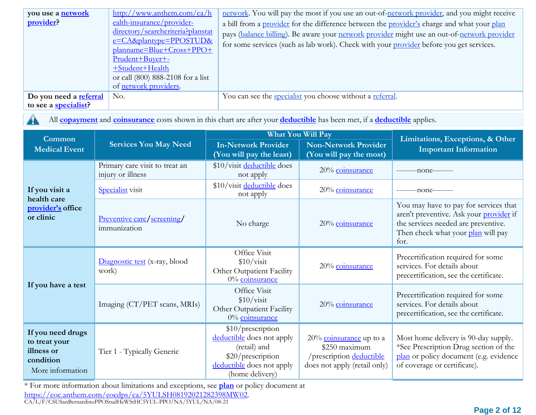| you use a network      | http://www.anthem.com/ca/h                  | network. You will pay the most if you use an out-of-network provider, and you might receive |
|------------------------|---------------------------------------------|---------------------------------------------------------------------------------------------|
| provider?              | ealth-insurance/provider-                   | a bill from a provider for the difference between the provider's charge and what your plan  |
|                        | directory/searchcriteria?planstat           | pays (balance billing). Be aware your network provider might use an out-of-network provider |
|                        | $e = CA\&\text{plantype} = \text{PPOSTUD&}$ | for some services (such as lab work). Check with your provider before you get services.     |
|                        | $planname = Blue + Cross + PPO +$           |                                                                                             |
|                        | Prudent+Buyer+-                             |                                                                                             |
|                        | +Student+Health                             |                                                                                             |
|                        | or call (800) 888-2108 for a list           |                                                                                             |
|                        | of network providers.                       |                                                                                             |
| Do you need a referral | No.                                         | You can see the <i>specialist</i> you choose without a <i>referral</i> .                    |
| to see a specialist?   |                                             |                                                                                             |

H.

All **[copayment](https://www.healthcare.gov/sbc-glossary/)** and **[coinsurance](https://www.healthcare.gov/sbc-glossary/)** costs shown in this chart are after your **[deductible](https://www.healthcare.gov/sbc-glossary/)** has been met, if a **[deductible](https://www.healthcare.gov/sbc-glossary/)** applies.

| Common                                                                            |                                                     |                                                                                                                                     | <b>What You Will Pay</b>                                                                                | Limitations, Exceptions, & Other<br><b>Important Information</b>                                                                                                      |  |
|-----------------------------------------------------------------------------------|-----------------------------------------------------|-------------------------------------------------------------------------------------------------------------------------------------|---------------------------------------------------------------------------------------------------------|-----------------------------------------------------------------------------------------------------------------------------------------------------------------------|--|
| <b>Medical Event</b>                                                              | <b>Services You May Need</b>                        | <b>In-Network Provider</b><br>(You will pay the least)                                                                              | <b>Non-Network Provider</b><br>(You will pay the most)                                                  |                                                                                                                                                                       |  |
|                                                                                   | Primary care visit to treat an<br>injury or illness | \$10/visit deductible does<br>not apply                                                                                             | 20% coinsurance                                                                                         | $-----nonex---$                                                                                                                                                       |  |
| If you visit a                                                                    | <b>Specialist</b> visit                             | \$10/visit deductible does<br>not apply                                                                                             | 20% coinsurance                                                                                         | --------none--------                                                                                                                                                  |  |
| health care<br>provider's office<br>or clinic                                     | Preventive care/screening/<br>immunization          | No charge                                                                                                                           | 20% coinsurance                                                                                         | You may have to pay for services that<br>aren't preventive. Ask your provider if<br>the services needed are preventive.<br>Then check what your plan will pay<br>for. |  |
|                                                                                   | Diagnostic test (x-ray, blood<br>work)              | Office Visit<br>\$10/vist<br>Other Outpatient Facility<br>0% coinsurance                                                            | 20% coinsurance                                                                                         | Precertification required for some<br>services. For details about<br>precertification, see the certificate.                                                           |  |
| If you have a test                                                                | Imaging (CT/PET scans, MRIs)                        | Office Visit<br>\$10/vist<br>Other Outpatient Facility<br>0% coinsurance                                                            | 20% coinsurance                                                                                         | Precertification required for some<br>services. For details about<br>precertification, see the certificate.                                                           |  |
| If you need drugs<br>to treat your<br>illness or<br>condition<br>More information | Tier 1 - Typically Generic                          | \$10/prescription<br>deductible does not apply<br>(retail) and<br>\$20/prescription<br>deductible does not apply<br>(home delivery) | $20\%$ coinsurance up to a<br>\$250 maximum<br>/prescription deductible<br>does not apply (retail only) | Most home delivery is 90-day supply.<br>*See Prescription Drug section of the<br>plan or policy document (e.g. evidence<br>of coverage or certificate).               |  |

\* For more information about limitations and exceptions, see **plan** or policy document at [https://eoc.anthem.com/eocdps/ca/5YULSH08192021282398MW02](https://eoc.anthem.com/eocdps/ca/5YULSH08192021282398MW01).

CA/L/F/CSUSanBernardinoPPOStudHeWStHC5YUL-PPO/NA/5YUL/NA/08-21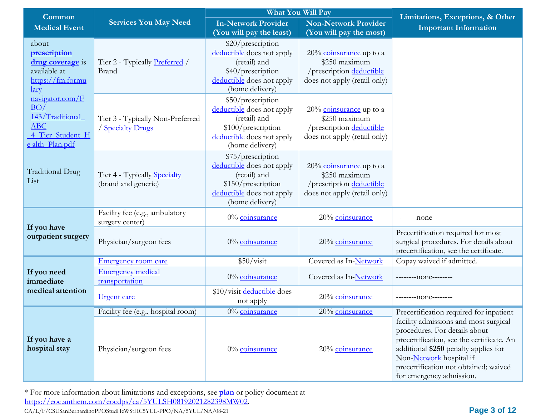| Common                                                                                                             |                                                            |                                                                                                                                      | What You Will Pay                                                                                       | Limitations, Exceptions, & Other<br><b>Important Information</b>                                                                                                                                                                                            |  |
|--------------------------------------------------------------------------------------------------------------------|------------------------------------------------------------|--------------------------------------------------------------------------------------------------------------------------------------|---------------------------------------------------------------------------------------------------------|-------------------------------------------------------------------------------------------------------------------------------------------------------------------------------------------------------------------------------------------------------------|--|
| <b>Medical Event</b>                                                                                               | <b>Services You May Need</b>                               | <b>In-Network Provider</b><br>(You will pay the least)                                                                               | <b>Non-Network Provider</b><br>(You will pay the most)                                                  |                                                                                                                                                                                                                                                             |  |
| about<br>prescription<br><b>drug</b> coverage is<br>available at<br>https://fm.formu<br>$\mathbf{\underline{lar}}$ | Tier 2 - Typically Preferred /<br>Brand                    | \$20/prescription<br>deductible does not apply<br>(retail) and<br>\$40/prescription<br>deductible does not apply<br>(home delivery)  | $20\%$ coinsurance up to a<br>\$250 maximum<br>/prescription deductible<br>does not apply (retail only) |                                                                                                                                                                                                                                                             |  |
| navigator.com/F<br>BO/<br>143/Traditional<br><b>ABC</b><br>4 Tier Student H<br>e alth Plan.pdf                     | Tier 3 - Typically Non-Preferred<br>/ Specialty Drugs      | \$50/prescription<br>deductible does not apply<br>(retail) and<br>\$100/prescription<br>deductible does not apply<br>(home delivery) | $20\%$ coinsurance up to a<br>\$250 maximum<br>/prescription deductible<br>does not apply (retail only) |                                                                                                                                                                                                                                                             |  |
| <b>Traditional Drug</b><br>List                                                                                    | Tier 4 - Typically <b>Specialty</b><br>(brand and generic) | \$75/prescription<br>deductible does not apply<br>(retail) and<br>\$150/prescription<br>deductible does not apply<br>(home delivery) | $20\%$ coinsurance up to a<br>\$250 maximum<br>/prescription deductible<br>does not apply (retail only) |                                                                                                                                                                                                                                                             |  |
|                                                                                                                    | Facility fee (e.g., ambulatory<br>surgery center)          | 0% coinsurance                                                                                                                       | 20% coinsurance                                                                                         | --------none--------                                                                                                                                                                                                                                        |  |
| If you have<br>outpatient surgery                                                                                  | Physician/surgeon fees                                     | $0\%$ coinsurance                                                                                                                    | 20% coinsurance                                                                                         | Precertification required for most<br>surgical procedures. For details about<br>precertification, see the certificate.                                                                                                                                      |  |
|                                                                                                                    | <b>Emergency room care</b>                                 | \$50/visit                                                                                                                           | Covered as In-Network                                                                                   | Copay waived if admitted.                                                                                                                                                                                                                                   |  |
| If you need<br>immediate                                                                                           | <b>Emergency medical</b><br>transportation                 | 0% coinsurance                                                                                                                       | Covered as In-Network                                                                                   | --------- none--------                                                                                                                                                                                                                                      |  |
| medical attention                                                                                                  | <u>Urgent care</u>                                         | \$10/visit deductible does<br>not apply                                                                                              | 20% coinsurance                                                                                         | ---------none--------                                                                                                                                                                                                                                       |  |
|                                                                                                                    | Facility fee (e.g., hospital room)                         | 0% coinsurance                                                                                                                       | 20% coinsurance                                                                                         | Precertification required for inpatient                                                                                                                                                                                                                     |  |
| If you have a<br>hospital stay                                                                                     | Physician/surgeon fees                                     | $0\%$ coinsurance                                                                                                                    | 20% coinsurance                                                                                         | facility admissions and most surgical<br>procedures. For details about<br>precertification, see the certificate. An<br>additional \$250 penalty applies for<br>Non-Network hospital if<br>precertification not obtained; waived<br>for emergency admission. |  |

\* For more information about limitations and exceptions, see **plan** or policy document at [https://eoc.anthem.com/eocdps/ca/5YULSH08192021282398MW02](https://eoc.anthem.com/eocdps/ca/5YULSH08192021282398MW01).

CA/L/F/CSUSanBernardinoPPOStudHeWStHC5YUL-PPO/NA/5YUL/NA/08-21 **Page 3 of 12**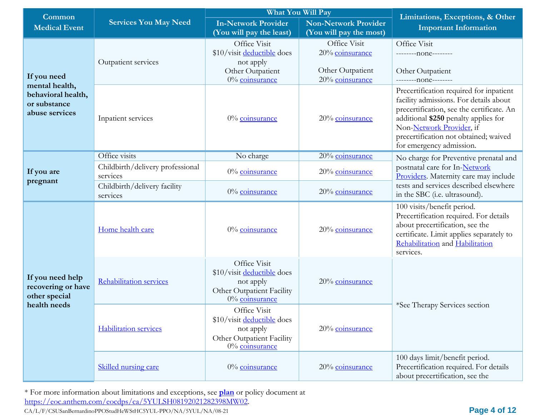| Common                                                                                |                                              | What You Will Pay                                                                                                | Limitations, Exceptions, & Other<br><b>Important Information</b>       |                                                                                                                                                                                                                                                                         |
|---------------------------------------------------------------------------------------|----------------------------------------------|------------------------------------------------------------------------------------------------------------------|------------------------------------------------------------------------|-------------------------------------------------------------------------------------------------------------------------------------------------------------------------------------------------------------------------------------------------------------------------|
| <b>Medical Event</b>                                                                  | <b>Services You May Need</b>                 | <b>In-Network Provider</b><br><b>Non-Network Provider</b><br>(You will pay the least)<br>(You will pay the most) |                                                                        |                                                                                                                                                                                                                                                                         |
| If you need<br>mental health,<br>behavioral health,<br>or substance<br>abuse services | Outpatient services                          | Office Visit<br>\$10/visit deductible does<br>not apply<br>Other Outpatient<br>0% coinsurance                    | Office Visit<br>20% coinsurance<br>Other Outpatient<br>20% coinsurance | Office Visit<br>--------none--------<br>Other Outpatient<br>---------none--------                                                                                                                                                                                       |
|                                                                                       | Inpatient services                           | $0\%$ coinsurance                                                                                                | 20% coinsurance                                                        | Precertification required for inpatient<br>facility admissions. For details about<br>precertification, see the certificate. An<br>additional \$250 penalty applies for<br>Non-Network Provider, if<br>precertification not obtained; waived<br>for emergency admission. |
|                                                                                       | Office visits                                | No charge                                                                                                        | 20% coinsurance                                                        | No charge for Preventive prenatal and                                                                                                                                                                                                                                   |
| If you are<br>pregnant                                                                | Childbirth/delivery professional<br>services | 0% coinsurance                                                                                                   | 20% coinsurance                                                        | postnatal care for In-Network<br>Providers. Maternity care may include                                                                                                                                                                                                  |
|                                                                                       | Childbirth/delivery facility<br>services     | $0\%$ coinsurance                                                                                                | 20% coinsurance                                                        | tests and services described elsewhere<br>in the SBC (i.e. ultrasound).                                                                                                                                                                                                 |
| If you need help<br>recovering or have<br>other special<br>health needs               | Home health care                             | 0% coinsurance                                                                                                   | 20% coinsurance                                                        | 100 visits/benefit period.<br>Precertification required. For details<br>about precertification, see the<br>certificate. Limit applies separately to<br>Rehabilitation and Habilitation<br>services.                                                                     |
|                                                                                       | <b>Rehabilitation services</b>               | Office Visit<br>\$10/visit deductible does<br>not apply<br>Other Outpatient Facility<br>0% coinsurance           | 20% coinsurance                                                        |                                                                                                                                                                                                                                                                         |
|                                                                                       | <b>Habilitation services</b>                 | Office Visit<br>\$10/visit deductible does<br>not apply<br>Other Outpatient Facility<br>0% coinsurance           | 20% coinsurance                                                        | *See Therapy Services section                                                                                                                                                                                                                                           |
|                                                                                       | Skilled nursing care                         | 0% coinsurance                                                                                                   | 20% coinsurance                                                        | 100 days limit/benefit period.<br>Precertification required. For details<br>about precertification, see the                                                                                                                                                             |

\* For more information about limitations and exceptions, see **plan** or policy document at [https://eoc.anthem.com/eocdps/ca/5YULSH08192021282398MW02](https://eoc.anthem.com/eocdps/ca/5YULSH08192021282398MW01).

CA/L/F/CSUSanBernardinoPPOStudHeWStHC5YUL-PPO/NA/5YUL/NA/08-21 **Page 4 of 12**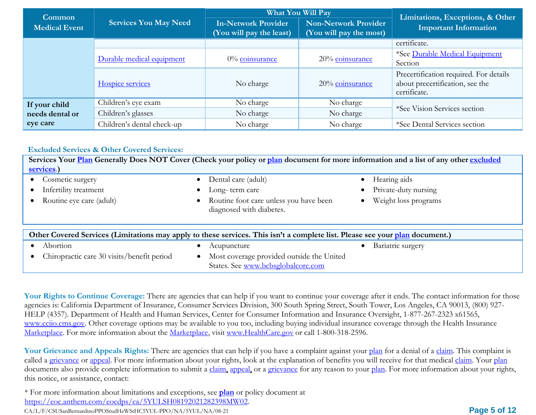| <b>Common</b>        |                              | <b>What You Will Pay</b>                               |                                                        | Limitations, Exceptions, & Other                                                          |  |
|----------------------|------------------------------|--------------------------------------------------------|--------------------------------------------------------|-------------------------------------------------------------------------------------------|--|
| <b>Medical Event</b> | <b>Services You May Need</b> | <b>In-Network Provider</b><br>(You will pay the least) | <b>Non-Network Provider</b><br>(You will pay the most) | <b>Important Information</b>                                                              |  |
|                      |                              |                                                        |                                                        | certificate.                                                                              |  |
|                      | Durable medical equipment    | $0\%$ coinsurance                                      | 20% coinsurance                                        | *See Durable Medical Equipment<br>Section                                                 |  |
|                      | Hospice services             | No charge                                              | 20% coinsurance                                        | Precertification required. For details<br>about precertification, see the<br>certificate. |  |
| If your child        | Children's eye exam          | No charge                                              | No charge                                              |                                                                                           |  |
| needs dental or      | Children's glasses           | No charge                                              | No charge                                              | *See Vision Services section                                                              |  |
| eye care             | Children's dental check-up   | No charge                                              | No charge                                              | *See Dental Services section                                                              |  |

#### **Excluded Services & Other Covered Services:**

| Services Your Plan Generally Does NOT Cover (Check your policy or plan document for more information and a list of any other excluded<br>services.) |                                                                                 |                                   |
|-----------------------------------------------------------------------------------------------------------------------------------------------------|---------------------------------------------------------------------------------|-----------------------------------|
| Cosmetic surgery                                                                                                                                    | Dental care (adult)                                                             | Hearing aids                      |
| Infertility treatment                                                                                                                               | Long-term care                                                                  | Private-duty nursing              |
| Routine eye care (adult)                                                                                                                            | • Routine foot care unless you have been<br>diagnosed with diabetes.            | Weight loss programs<br>$\bullet$ |
| Other Covered Services (Limitations may apply to these services. This isn't a complete list. Please see your plan document.)                        |                                                                                 |                                   |
| Abortion                                                                                                                                            | Acupuncture                                                                     | Bariatric surgery<br>$\bullet$    |
| Chiropractic care 30 visits/benefit period                                                                                                          | Most coverage provided outside the United<br>States. See www.bcbsglobalcore.com |                                   |

Your Rights to Continue Coverage: There are agencies that can help if you want to continue your coverage after it ends. The contact information for those agencies is: California Department of Insurance, Consumer Services Division, 300 South Spring Street, South Tower, Los Angeles, CA 90013, (800) 927- HELP (4357). Department of Health and Human Services, Center for Consumer Information and Insurance Oversight, 1-877-267-2323 x61565, [www.cciio.cms.gov. O](http://www.cciio.cms.gov/)ther coverage options may be available to you too, including buying individual insurance coverage through the Health Insurance Marketplace. For more information about the Marketplace, visit [www.HealthCare.gov](https://www.healthcare.gov/) or call 1-800-318-2596.

Your Grievance and Appeals Rights: There are agencies that can help if you have a complaint against your [plan](https://www.healthcare.gov/sbc-glossary/) for a denial of a [claim. T](https://www.healthcare.gov/sbc-glossary/)his complaint is called a grievance or appeal. For more information about your rights, look at the explanation of benefits you will receive for that medical claim. Your plan documents also provide complete information to submit a claim, appeal, or a grievance for any reason to your plan. For more information about your rights, this notice, or assistance, contact:

\* For more information about limitations and exceptions, see **plan** or policy document at [https://eoc.anthem.com/eocdps/ca/5YULSH08192021282398MW02](https://eoc.anthem.com/eocdps/ca/5YULSH08192021282398MW01).

CA/L/F/CSUSanBernardinoPPOStudHeWStHC5YUL-PPO/NA/5YUL/NA/08-21 **Page 5 of 12**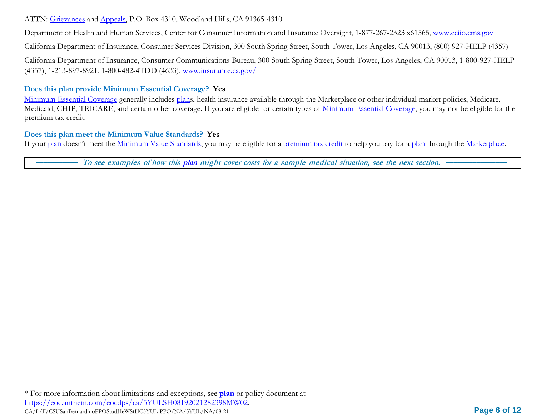### ATTN: Grievances and Appeals, P.O. Box 4310, Woodland Hills, CA 91365-4310

Department of Health and Human Services, Center for Consumer Information and Insurance Oversight, 1-877-267-2323 x61565, [www.cciio.cms.gov](http://www.cciio.cms.gov/)

California Department of Insurance, Consumer Services Division, 300 South Spring Street, South Tower, Los Angeles, CA 90013, (800) 927-HELP (4357)

California Department of Insurance, Consumer Communications Bureau, 300 South Spring Street, South Tower, Los Angeles, CA 90013, 1-800-927-HELP (4357), 1-213-897-8921, 1-800-482-4TDD (4633), [www.insurance.ca.gov/](http://www.insurance.ca.gov/)

### **Does this plan provide Minimum Essential Coverage? Yes**

Minimum Essential Coverage generally includes plans, health insurance available through the Marketplace or other individual market policies, Medicare, Medicaid, CHIP, TRICARE, and certain other coverage. If you are eligible for certain types of Minimum Essential Coverage, you may not be eligible for the premium tax credit.

### **Does this plan meet the Minimum Value Standards? Yes**

If your plan doesn't meet the Minimum Value Standards, you may be eligible for a premium tax credit to help you pay for a plan through the Marketplace.

To see examples of how this plan might cover costs for a sample medical situation, see the next section.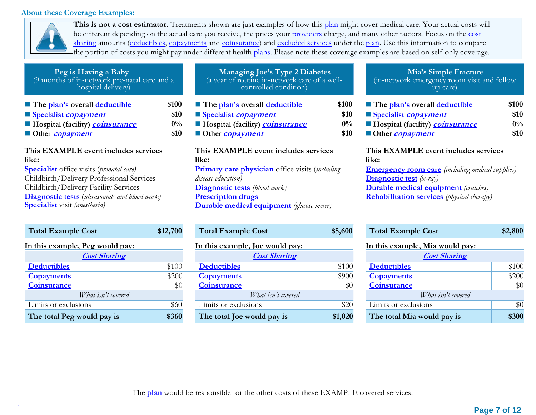#### **About these Coverage Examples:**



**This is not a cost estimator.** Treatments shown are just examples of how this plan might cover medical care. Your actual costs will be different depending on the actual care you receive, the prices your providers charge, and many other factors. Focus on the cost sharing amounts (deductibles, copayments and coinsurance) and excluded services under the plan. Use this information to compare the portion of costs you might pay under different health plans. Please note these coverage examples are based on self-only coverage.

| Peg is Having a Baby<br>(9 months of in-network pre-natal care and a<br>hospital delivery)                                                                                                                                                                                                      |                                | <b>Managing Joe's Type 2 Diabetes</b><br>(a year of routine in-network care of a well-<br>controlled condition)                                                                                                                                        |                                | Mia's Simple Fracture<br>(in-network emergency room visit and follow<br>up care)                                                                                                                                                                 |                                |
|-------------------------------------------------------------------------------------------------------------------------------------------------------------------------------------------------------------------------------------------------------------------------------------------------|--------------------------------|--------------------------------------------------------------------------------------------------------------------------------------------------------------------------------------------------------------------------------------------------------|--------------------------------|--------------------------------------------------------------------------------------------------------------------------------------------------------------------------------------------------------------------------------------------------|--------------------------------|
| The plan's overall deductible<br>Specialist copayment<br>Hospital (facility) <b>coinsurance</b><br>Other <i>copayment</i>                                                                                                                                                                       | \$100<br>\$10<br>$0\%$<br>\$10 | The plan's overall deductible<br>Specialist <i>copayment</i><br><b>Hospital (facility) <i>coinsurance</i></b><br>Other <i>copayment</i>                                                                                                                | \$100<br>\$10<br>$0\%$<br>\$10 | The plan's overall deductible<br>Specialist <i>copayment</i><br>Hospital (facility) <b>coinsurance</b><br>Other <i>copayment</i>                                                                                                                 | \$100<br>\$10<br>$0\%$<br>\$10 |
| This EXAMPLE event includes services<br>like:<br><b>Specialist</b> office visits ( <i>prenatal care</i> )<br>Childbirth/Delivery Professional Services<br>Childbirth/Delivery Facility Services<br><b>Diagnostic tests</b> (ultrasounds and blood work)<br><b>Specialist</b> visit (anesthesia) |                                | This EXAMPLE event includes services<br>like:<br><b>Primary care physician</b> office visits (including<br>disease education)<br><b>Diagnostic tests</b> (blood work)<br><b>Prescription drugs</b><br><b>Durable medical equipment</b> (glucose meter) |                                | This EXAMPLE event includes services<br>like:<br><b>Emergency room care</b> (including medical supplies)<br><b>Diagnostic test</b> $(x-ray)$<br><b>Durable medical equipment</b> (crutches)<br><b>Rehabilitation services</b> (physical therapy) |                                |
| <b>Total Example Cost</b>                                                                                                                                                                                                                                                                       | \$12,700                       | <b>Total Example Cost</b>                                                                                                                                                                                                                              | \$5,600                        | <b>Total Example Cost</b>                                                                                                                                                                                                                        | \$2,800                        |

| In this example, Peg would pay: |       | In this example, Joe would pay: |         |
|---------------------------------|-------|---------------------------------|---------|
| <b>Cost Sharing</b>             |       | <b>Cost Sharing</b>             |         |
| <b>Deductibles</b>              | \$100 | <b>Deductibles</b>              | \$100   |
| <b>Copayments</b>               | \$200 | <b>Copayments</b>               | \$900   |
| <b>Coinsurance</b>              | \$0   | <b>Coinsurance</b>              | \$0     |
| What isn't covered              |       | What isn't covered              |         |
| Limits or exclusions            | \$60  | Limits or exclusions            | \$20    |
| The total Peg would pay is      | \$360 | The total Joe would pay is      | \$1,020 |

| <b>Total Example Cost</b>       | \$12,700 | <b>Total Example Cost</b>       | \$5,600 | <b>Total Example Cost</b>       |
|---------------------------------|----------|---------------------------------|---------|---------------------------------|
| In this example, Peg would pay: |          | In this example, Joe would pay: |         | In this example, Mia would pay: |
| <b>Cost Sharing</b>             |          | <b>Cost Sharing</b>             |         | <b>Cost Sharing</b>             |
| <b>Deductibles</b>              | \$100    | <b>Deductibles</b>              | \$100   | <b>Deductibles</b>              |
| <b>Copayments</b>               | \$200    | <b>Copayments</b>               | \$900   | <b>Copayments</b>               |
| <b>Coinsurance</b>              | $\$0$    | <b>Coinsurance</b>              | $\$0$   | <b>Coinsurance</b>              |
| What isn't covered              |          | What isn't covered              |         | What isn't covered              |
| Limits or exclusions            | \$60     | Limits or exclusions            | \$20    | Limits or exclusions            |
| The total Peg would pay is      | \$360    | The total Joe would pay is      | \$1,020 | The total Mia would pay is      |

#### **Mia's Simple Fracture** (in-network emergency room visit and follow up care)

| The plan's overall deductible                 | \$100 |
|-----------------------------------------------|-------|
| Specialist <i>copayment</i>                   | \$10  |
| Hospital (facility) <b><i>coinsurance</i></b> | $0\%$ |
| Other <i>copayment</i>                        | \$10  |

#### **This EXAMPLE event includes services like:**

| <b>Total Example Cost</b>       | \$2,800 |
|---------------------------------|---------|
| In this example, Mia would pay: |         |
| <b>Cost Sharing</b>             |         |
| <b>Deductibles</b>              | \$100   |
| <b>Copayments</b>               | \$200   |
| <b>Coinsurance</b>              |         |
| What isn't covered              |         |
| Limits or exclusions            |         |
| The total Mia would pay is      | \$30    |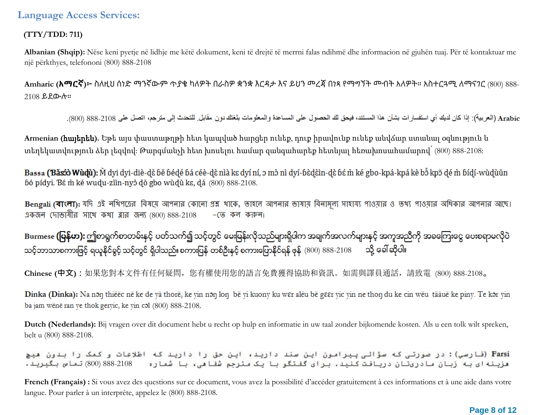### **(TTY/TDD: 711)**

**Albanian (Shqip):** Nëse keni pyetje në lidhje me këtë dokument, keni të drejtë të merrni falas ndihmë dhe informacion në gjuhën tuaj. Për të kontaktuar me një përkthyes, telefononi (800) 888-2108

**Amharic (አማርኛ)፦** ስለዚህ ሰነድ ማንኛውም ጥያቄ ካለዎት በራስዎ ቋንቋ እርዳታ እና ይህን መረጃ በነጻ የማግኘት መብት አለዎት። አስተርጓሚ ለማናገር (800) 888- 2108 ይደውሉ።

Arabic (العربية): إذا كان لديك أي استفسار ات بشأن هذا المستند، فيحق لك الحصول على المساعدة والمعلومات بلغتك دون مقابل. للتحدث إلى مترجم، اتصل على 2108-888 (800).

**Armenian (**հայերեն**).** Եթե այս փաստաթղթի հետ կապված հարցեր ունեք, դուք իրավունք ունեք անվճար ստանալ օգնություն և տեղեկատվություն ձեր լեզվով: Թարգմանչի հետ խոսելու համար զանգահարեք հետևյալ հեռախոսահամարով՝ (800) 888-2108:

Bassa (Băsố) Wùdù): M dyi dyi-diè-dè bě bédé bá céè-dè nìà kɛ dyí ní, ɔ mɔ̀ nì dyí-bèdèin-dè bé m̀ ké gbo-kpá-kpá kè bɔ̃ kpɔ̃ dé m̀ bídí-wùdùǔn bó pídyi. Bé m ké wudu-ziin-nyò dò gbo wùdù ke, dá (800) 888-2108.

Bengali (বাংলা): যদি এই নথিপত্রের বিষয়ে আপনার কোনো প্রশ্ন থাকে, তাহলে আপনার ভাষায় বিনামূল্য সাওয়ার ও তথ্য পাওয়ার অধিকার আপনার আছে। একজন দোভাষীর সাথে কথা ব্লার জন্য (800) 888-2108  $-$  (ত কল করুন।

Burmese **(မြန်မာ):** ဤစာရွက်စာတမ်းနှင့် ပတ်သက်၍ သင့်တွင် မေးမြန်းလိုသည်များရှိပါက အချက်အလက်များနှင့် အကူအညီကို အခကြေးငွေ ပေးစရာမလိုပဲ သင့်ဘာသာစကားဖြင့် ရယူနိုင်ရွင့် သင့်တွင် ရှိပါသည်။ စကားပြန် တစ်ဦးနှင့် စကားပြောနိုင်ရန် ဖုန်  $(800)$   $888$ -2108  $\quad$  သို့ ခေါ် ဆိုပါ။

**Chinese (中文):**如果您對本文件有任何疑問,您有權使用您的語言免費獲得協助和資訊。如需與譯員通話,請致電 (800) 888-2108。

Dinka (Dinka): Na non thiëëc në ke de yä thorë, ke yin non lon bë yi kuony ku wer alëu bë geer yic yin ne thon du ke cin wëu tääuë ke piny. Te kor yin ba jam wënë ran ye thok geryic, ke yin col (800) 888-2108.

**Dutch (Nederlands):** Bij vragen over dit document hebt u recht op hulp en informatie in uw taal zonder bijkomende kosten. Als u een tolk wilt spreken, belt u (800) 888-2108.

Farsi (فارسی): در صورتی که سؤالی پیرامون این سند دارید، این حق را دارید که اطلاعات و کمک را بدون هیچ هزینه ای به زبان مادریتان دریافت کنید. برای گفتگو با یک مترجم شفا می، با شماره 2108-888 (800) تماس بگیرید.

**French (Français) :** Si vous avez des questions sur ce document, vous avez la possibilité d'accéder gratuitement à ces informations et à une aide dans votre langue. Pour parler à un interprète, appelez le (800) 888-2108.

#### **Page 8 of 12**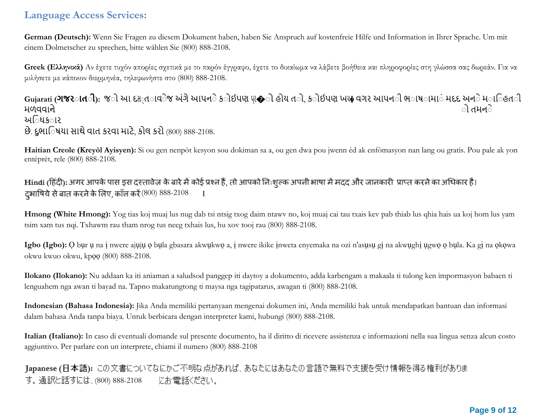**German (Deutsch):** Wenn Sie Fragen zu diesem Dokument haben, haben Sie Anspruch auf kostenfreie Hilfe und Information in Ihrer Sprache. Um mit einem Dolmetscher zu sprechen, bitte wählen Sie (800) 888-2108.

**Greek (Ελληνικά)** Αν έχετε τυχόν απορίες σχετικά με το παρόν έγγραφο, έχετε το δικαίωμα να λάβετε βοήθεια και πληροφορίες στη γλώσσα σας δωρεάν. Για να μιλήσετε με κάποιον διερμηνέα, τηλεφωνήστε στο (800) 888-2108.

**Gujarati (<b>ગજરાતી**): જો આ દસ<sub>્</sub>તાવેજ અંગે આપને કોઈપણ પ્ર�ો હોય તો, કોઈપણ ખય♦ વગર આપન**ી ભ**ાષ**ામા**ં મદદ અને માહિત**ી** મળવવ નો ો તમનો અિધક**ા**ર છે. દુભાિષયા સાથે વાત કરવા માટે, કોલ કરો (800) 888-2108.

**Haitian Creole (Kreyòl Ayisyen):** Si ou gen nenpòt kesyon sou dokiman sa a, ou gen dwa pou jwenn èd ak enfòmasyon nan lang ou gratis. Pou pale ak yon entèprèt, rele (800) 888-2108.

Hindi (हिंदी): अगर आपके पास इस दस्तावेज़ के बारे में कोई प्रश्न हैं, तो आपको निःशूल्क अपनी भाषा में मदद और जानकारी प्राप्त करने का अधिकार है। दुभाषिये से बात करने के लिए, कॉल करें  $(800)$   $888-2108$ 

**Hmong (White Hmong):** Yog tias koj muaj lus nug dab tsi ntsig txog daim ntawv no, koj muaj cai tau txais kev pab thiab lus qhia hais ua koj hom lus yam tsim xam tus nqi. Txhawm rau tham nrog tus neeg txhais lus, hu xov tooj rau (800) 888-2108.

**Igbo (Igbo):** Ọ bụr ụ na ị nwere ajụjụ ọ bụla gbasara akwụkwọ a, ị nwere ikike ịnweta enyemaka na ozi n'asụsụ gị na akwụghị ụgwọ ọ bụla. Ka gị na ọkọwa okwu kwuo okwu, kpọọ (800) 888-2108.

**Ilokano (Ilokano):** Nu addaan ka iti aniaman a saludsod panggep iti daytoy a dokumento, adda karbengam a makaala ti tulong ken impormasyon babaen ti lenguahem nga awan ti bayad na. Tapno makatungtong ti maysa nga tagipatarus, awagan ti (800) 888-2108.

**Indonesian (Bahasa Indonesia):** Jika Anda memiliki pertanyaan mengenai dokumen ini, Anda memiliki hak untuk mendapatkan bantuan dan informasi dalam bahasa Anda tanpa biaya. Untuk berbicara dengan interpreter kami, hubungi (800) 888-2108.

**Italian (Italiano):** In caso di eventuali domande sul presente documento, ha il diritto di ricevere assistenza e informazioni nella sua lingua senza alcun costo aggiuntivo. Per parlare con un interprete, chiami il numero (800) 888-2108

Japanese (日本語): この文書についてなにかご不明な点があれば、あなたにはあなたの言語で無料で支援を受け情報を得る権利がありま す。通訳と話すには、(800) 888-2108 にお電話ください。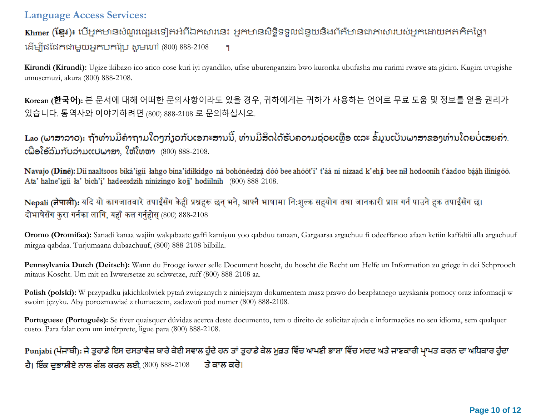Khmer (ខ្មែរ)៖ បើអ្នកមានសំណួរផ្សេងទៀតអំពីឯកសារនេះ អ្នកមានសិទ្ធិទទួលជំនួយនិងព័ត៌មានជាភាសារបស់អ្នកដោយឥតគិតថ្លៃ។ (800) 888-2108 ۰q

**Kirundi (Kirundi):** Ugize ikibazo ico arico cose kuri iyi nyandiko, ufise uburenganzira bwo kuronka ubufasha mu rurimi rwawe ata giciro. Kugira uvugishe umusemuzi, akura (800) 888-2108.

**Korean (한국어):** 본 문서에 대해 어떠한 문의사항이라도 있을 경우, 귀하에게는 귀하가 사용하는 언어로 무료 도움 및 정보를 얻을 권리가 있습니다. 통역사와 이야기하려면 (800) 888-2108 로 문의하십시오.

Lao (ພາສາລາວ): ຖ້າທ່ານມີຄຳຖາມໃດໆກ່ຽວກັບເອກະສານນີ້, ທ່ານມີສິດໄດ້ຮັບຄວາມຊ່ວຍເຫຼືອ ແລະ ຂໍ້ມູນເປັນພາສາຂອງທ່ານໂດຍບໍ່ເສຍຄ່າ.  $c$ ພື່ອໂອ້ລົມກັບລ່າມແປພາສາ, ໃຫ້ໂທຫາ  $(800)$   $888-2108$ .

Navajo (Diné): Díi naaltsoos biká'ígíí lahgo bína'ídílkidgo ná bohónéedzá dóó bee ahóót'i' t'áá ni nizaad k'ehji bee nil hodoonih t'áadoo bááh ilínígóó. Ata' halne'igii ła' bich'i' hadeesdzih ninizingo koji' hodiilnih (800) 888-2108.

Nepali (नेपाली): यदि यो कागजातबारे तपाईँसँग केही प्रश्नहरू छन् भने, आफ्नै भाषामा निःशुल्क सहयोग तथा जानकारी प्राप्त गर्न पाउने हक तपाईँसँग छ। दोभाषेसँग करा गर्नका लागि, यहाँ कल गर्नहोस (800) 888-2108

**Oromo (Oromifaa):** Sanadi kanaa wajiin walqabaate gaffi kamiyuu yoo qabduu tanaan, Gargaarsa argachuu fi odeeffanoo afaan ketiin kaffaltii alla argachuuf mirgaa qabdaa. Turjumaana dubaachuuf, (800) 888-2108 bilbilla.

**Pennsylvania Dutch (Deitsch):** Wann du Frooge iwwer selle Document hoscht, du hoscht die Recht um Helfe un Information zu griege in dei Schprooch mitaus Koscht. Um mit en Iwwersetze zu schwetze, ruff (800) 888-2108 aa.

**Polish (polski):** W przypadku jakichkolwiek pytań związanych z niniejszym dokumentem masz prawo do bezpłatnego uzyskania pomocy oraz informacji w swoim języku. Aby porozmawiać z tłumaczem, zadzwoń pod numer (800) 888-2108.

Portuguese (Português): Se tiver quaisquer dúvidas acerca deste documento, tem o direito de solicitar ajuda e informações no seu idioma, sem qualquer custo. Para falar com um intérprete, ligue para (800) 888-2108.

# Punjabi (ਪੰਜਾਬੀ): ਜੇ ਤੁਹਾਡੇ ਇਸ ਦਸਤਾਵੇਜ਼ ਬਾਰੇ ਕੋਈ ਸਵਾਲ ਹੁੰਦੇ ਹਨ ਤਾਂ ਤੁਹਾਡੇ ਕੋਲ ਮੁਫ਼ਤ ਵਿੱਚ ਆਪਣੀ ਭਾਸ਼ਾ ਵਿੱਚ ਮਦਦ ਅਤੇ ਜਾਣਕਾਰੀ ਪ੍ਰਾਪਤ ਕਰਨ ਦਾ ਅਧਿਕਾਰ ਹੁੰਦਾ ਹੈ। ਇੱਕ ਦਭਾਸ਼ੀਏ ਨਾਲ ਗੱਲ ਕਰਨ ਲਈ (800) 888-2108 ਤੇ ਕਾਲ ਕਰੋ।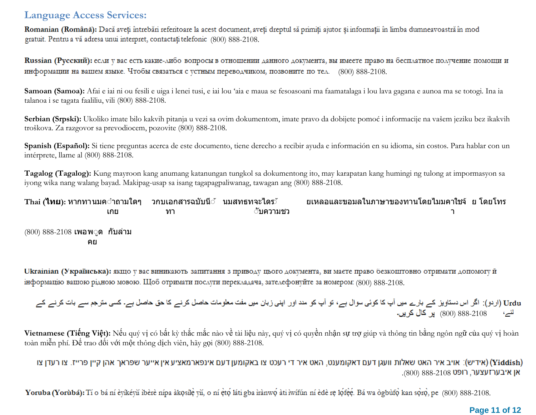Romanian (Română): Dacă aveți întrebări referitoare la acest document, aveți dreptul să primiți ajutor și informații în limba dumneavoastră în mod gratuit. Pentru a vă adresa unui interpret, contactați telefonic (800) 888-2108.

Russian (Русский): если у вас есть какие-либо вопросы в отношении данного документа, вы имеете право на бесплатное получение помощи и информации на вашем языке. Чтобы связаться с устным переводчиком, позвоните по тел. (800) 888-2108.

**Samoan (Samoa):** Afai e iai ni ou fesili e uiga i lenei tusi, e iai lou 'aia e maua se fesoasoani ma faamatalaga i lou lava gagana e aunoa ma se totogi. Ina ia talanoa i se tagata faaliliu, vili (800) 888-2108.

**Serbian (Srpski):** Ukoliko imate bilo kakvih pitanja u vezi sa ovim dokumentom, imate pravo da dobijete pomoć i informacije na vašem jeziku bez ikakvih troškova. Za razgovor sa prevodiocem, pozovite (800) 888-2108.

**Spanish (Español):** Si tiene preguntas acerca de este documento, tiene derecho a recibir ayuda e información en su idioma, sin costos. Para hablar con un intérprete, llame al (800) 888-2108.

**Tagalog (Tagalog):** Kung mayroon kang anumang katanungan tungkol sa dokumentong ito, may karapatan kang humingi ng tulong at impormasyon sa iyong wika nang walang bayad. Makipag-usap sa isang tagapagpaliwanag, tawagan ang (800) 888-2108.

| ้ Thai ( <b>ไทย</b> ): หากทานมค <b>ำถามใดๆ    วกบเอกสารฉบับนี</b> ่    นมสทธทจะไดร ั |     |    |          | ียเหลอและขอมลในภาษาของทานโดยไมมคาใชจั ย โดยโทร |  |
|--------------------------------------------------------------------------------------|-----|----|----------|------------------------------------------------|--|
|                                                                                      | เกย | ทา | ้บความชว |                                                |  |
| $(800)$ 888-2108 เพอพ⊙ุด กับล่าม                                                     |     |    |          |                                                |  |
| คย                                                                                   |     |    |          |                                                |  |

Ukrainian (Українська): якщо у вас виникають запитання з приводу цього документа, ви маєте право безкоштовно отримати допомогу й інформацію вашою рідною мовою. Щоб отримати послуги перекладача, зателефонуйте за номером: (800) 888-2108.

Urdu (اردو): اگر اس دستاویز کے بارے میں آپ کا کوئی سوال ہے، تو آپ کو مدد اور اپنی زبان میں مفت معلومات حاصل کرنے کا حق حاصل ہے۔ کسی مترجم سے بات کرنے کے  $\frac{1}{4}$ كال كريں۔ (800) 888-2108 س

**Vietnamese (Tiếng Việt):** Nếu quý vị có bất kỳ thắc mắc nào về tài liệu này, quý vị có quyền nhận sự trợ giúp và thông tin bằng ngôn ngữ của quý vị hoàn toàn miễn phí. Để trao đổi với một thông dịch viên, hãy gọi (800) 888-2108.

(אידיש): אויב איר האט שאלות וועגן דעם דאקומענט, האט איר די רעכט צו באקומען דעם אינפארמאציע אין אייער שפראך אהן קיין פרייז. צו רעדן צו (Yiddish) אן איבערזעצער, רופט 888-2108.

Yoruba (Yorubá): Tí o bá ní èyíkéyň ibèrè nípa àkosíle vň, o ní eto láti gba irànwo àti iwífún ní èdè re lofee. Bá wa ògbufo kan soro, pe (800) 888-2108.

#### **Page 11 of 12**